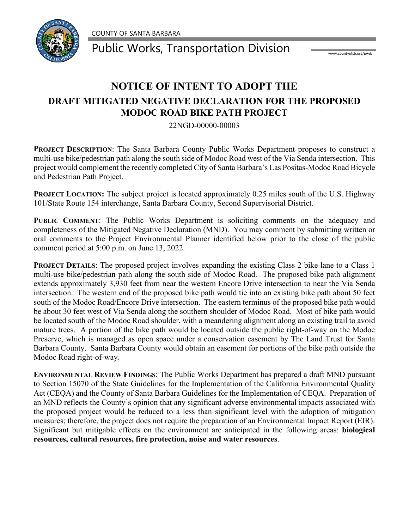COUNTY OF SANTA BARBARA



Public Works, Transportation Division Water www.countyofsb.org/pwd/

## **NOTICE OF INTENT TO ADOPT THE DRAFT MITIGATED NEGATIVE DECLARATION FOR THE PROPOSED MODOC ROAD BIKE PATH PROJECT**

22NGD-00000-00003

**PROJECT DESCRIPTION**: The Santa Barbara County Public Works Department proposes to construct a multi-use bike/pedestrian path along the south side of Modoc Road west of the Via Senda intersection. This project would complement the recently completed City of Santa Barbara's Las Positas-Modoc Road Bicycle and Pedestrian Path Project.

**PROJECT LOCATION:** The subject project is located approximately 0.25 miles south of the U.S. Highway 101/State Route 154 interchange, Santa Barbara County, Second Supervisorial District.

**PUBLIC COMMENT**: The Public Works Department is soliciting comments on the adequacy and completeness of the Mitigated Negative Declaration (MND). You may comment by submitting written or oral comments to the Project Environmental Planner identified below prior to the close of the public comment period at 5:00 p.m. on June 13, 2022.

**PROJECT DETAILS:** The proposed project involves expanding the existing Class 2 bike lane to a Class 1 multi-use bike/pedestrian path along the south side of Modoc Road. The proposed bike path alignment extends approximately 3,930 feet from near the western Encore Drive intersection to near the Via Senda intersection. The western end of the proposed bike path would tie into an existing bike path about 50 feet south of the Modoc Road/Encore Drive intersection. The eastern terminus of the proposed bike path would be about 30 feet west of Via Senda along the southern shoulder of Modoc Road. Most of bike path would be located south of the Modoc Road shoulder, with a meandering alignment along an existing trail to avoid mature trees. A portion of the bike path would be located outside the public right-of-way on the Modoc Preserve, which is managed as open space under a conservation easement by The Land Trust for Santa Barbara County. Santa Barbara County would obtain an easement for portions of the bike path outside the Modoc Road right-of-way.

**ENVIRONMENTAL REVIEW FINDINGS**: The Public Works Department has prepared a draft MND pursuant to Section 15070 of the State Guidelines for the Implementation of the California Environmental Quality Act (CEQA) and the County of Santa Barbara Guidelines for the Implementation of CEQA. Preparation of an MND reflects the County's opinion that any significant adverse environmental impacts associated with the proposed project would be reduced to a less than significant level with the adoption of mitigation measures; therefore, the project does not require the preparation of an Environmental Impact Report (EIR). Significant but mitigable effects on the environment are anticipated in the following areas: **biological resources, cultural resources, fire protection, noise and water resources**.